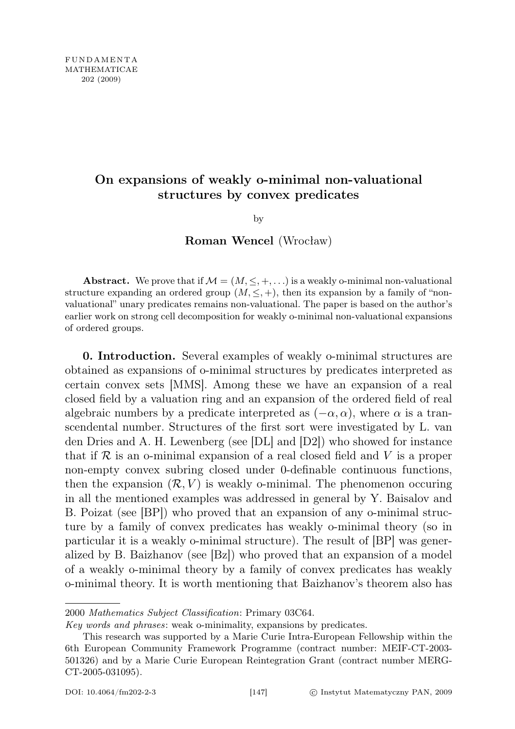## On expansions of weakly o-minimal non-valuational structures by convex predicates

by

Roman Wencel (Wrocław)

Abstract. We prove that if  $\mathcal{M} = (M, \leq, +, \ldots)$  is a weakly o-minimal non-valuational structure expanding an ordered group  $(M, \leq, +)$ , then its expansion by a family of "nonvaluational" unary predicates remains non-valuational. The paper is based on the author's earlier work on strong cell decomposition for weakly o-minimal non-valuational expansions of ordered groups.

0. Introduction. Several examples of weakly o-minimal structures are obtained as expansions of o-minimal structures by predicates interpreted as certain convex sets [MMS]. Among these we have an expansion of a real closed field by a valuation ring and an expansion of the ordered field of real algebraic numbers by a predicate interpreted as  $(-\alpha, \alpha)$ , where  $\alpha$  is a transcendental number. Structures of the first sort were investigated by L. van den Dries and A. H. Lewenberg (see [DL] and [D2]) who showed for instance that if  $\mathcal R$  is an o-minimal expansion of a real closed field and V is a proper non-empty convex subring closed under 0-definable continuous functions, then the expansion  $(\mathcal{R}, V)$  is weakly o-minimal. The phenomenon occuring in all the mentioned examples was addressed in general by Y. Baisalov and B. Poizat (see [BP]) who proved that an expansion of any o-minimal structure by a family of convex predicates has weakly o-minimal theory (so in particular it is a weakly o-minimal structure). The result of [BP] was generalized by B. Baizhanov (see [Bz]) who proved that an expansion of a model of a weakly o-minimal theory by a family of convex predicates has weakly o-minimal theory. It is worth mentioning that Baizhanov's theorem also has

<sup>2000</sup> Mathematics Subject Classification: Primary 03C64.

Key words and phrases: weak o-minimality, expansions by predicates.

This research was supported by a Marie Curie Intra-European Fellowship within the 6th European Community Framework Programme (contract number: MEIF-CT-2003- 501326) and by a Marie Curie European Reintegration Grant (contract number MERG-CT-2005-031095).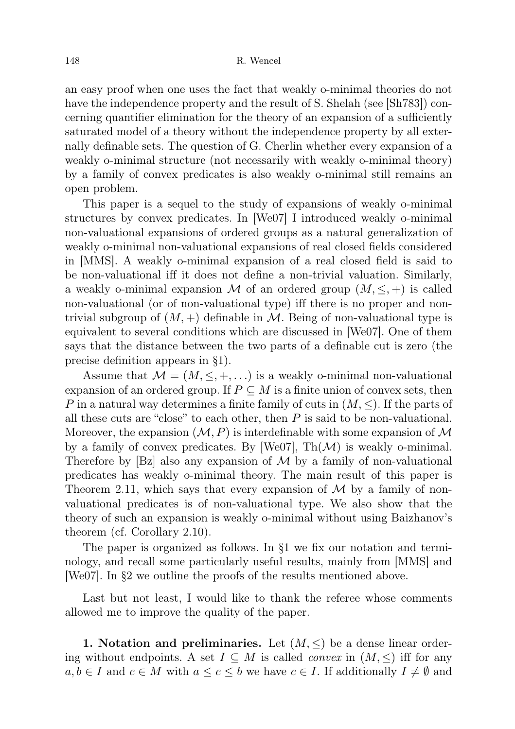an easy proof when one uses the fact that weakly o-minimal theories do not have the independence property and the result of S. Shelah (see [Sh783]) concerning quantifier elimination for the theory of an expansion of a sufficiently saturated model of a theory without the independence property by all externally definable sets. The question of G. Cherlin whether every expansion of a weakly o-minimal structure (not necessarily with weakly o-minimal theory) by a family of convex predicates is also weakly o-minimal still remains an open problem.

This paper is a sequel to the study of expansions of weakly o-minimal structures by convex predicates. In [We07] I introduced weakly o-minimal non-valuational expansions of ordered groups as a natural generalization of weakly o-minimal non-valuational expansions of real closed fields considered in [MMS]. A weakly o-minimal expansion of a real closed field is said to be non-valuational iff it does not define a non-trivial valuation. Similarly, a weakly o-minimal expansion M of an ordered group  $(M, \leq, +)$  is called non-valuational (or of non-valuational type) iff there is no proper and nontrivial subgroup of  $(M, +)$  definable in M. Being of non-valuational type is equivalent to several conditions which are discussed in [We07]. One of them says that the distance between the two parts of a definable cut is zero (the precise definition appears in §1).

Assume that  $\mathcal{M} = (M, \leq, +, \ldots)$  is a weakly o-minimal non-valuational expansion of an ordered group. If  $P \subseteq M$  is a finite union of convex sets, then P in a natural way determines a finite family of cuts in  $(M, \leq)$ . If the parts of all these cuts are "close" to each other, then  $P$  is said to be non-valuational. Moreover, the expansion  $(M, P)$  is interdefinable with some expansion of M by a family of convex predicates. By [We07],  $\text{Th}(\mathcal{M})$  is weakly o-minimal. Therefore by  $[Bz]$  also any expansion of  $\mathcal M$  by a family of non-valuational predicates has weakly o-minimal theory. The main result of this paper is Theorem 2.11, which says that every expansion of  $\mathcal M$  by a family of nonvaluational predicates is of non-valuational type. We also show that the theory of such an expansion is weakly o-minimal without using Baizhanov's theorem (cf. Corollary 2.10).

The paper is organized as follows. In §1 we fix our notation and terminology, and recall some particularly useful results, mainly from [MMS] and [We07]. In §2 we outline the proofs of the results mentioned above.

Last but not least, I would like to thank the referee whose comments allowed me to improve the quality of the paper.

1. Notation and preliminaries. Let  $(M, \leq)$  be a dense linear ordering without endpoints. A set  $I \subseteq M$  is called *convex* in  $(M, \leq)$  iff for any  $a, b \in I$  and  $c \in M$  with  $a \leq c \leq b$  we have  $c \in I$ . If additionally  $I \neq \emptyset$  and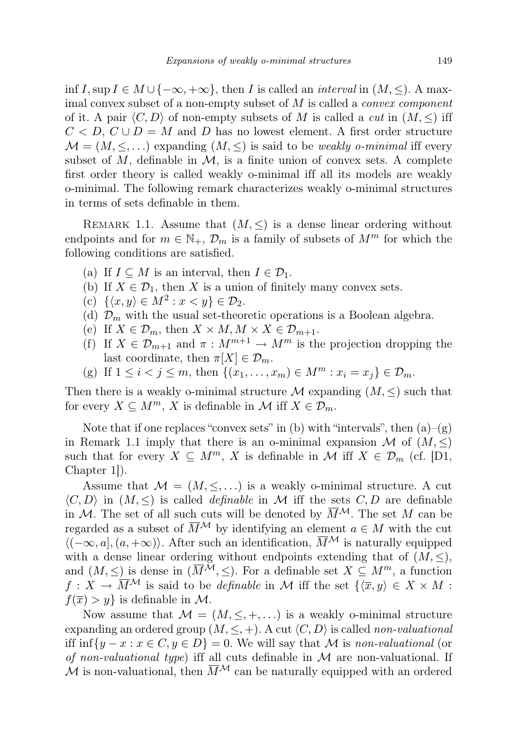inf I, sup  $I \in M \cup \{-\infty, +\infty\}$ , then I is called an *interval* in  $(M, \le)$ . A maximal convex subset of a non-empty subset of  $M$  is called a *convex component* of it. A pair  $\langle C, D \rangle$  of non-empty subsets of M is called a *cut* in  $(M, \leq)$  iff  $C < D, C \cup D = M$  and D has no lowest element. A first order structure  $\mathcal{M} = (M, \leq, \ldots)$  expanding  $(M, \leq)$  is said to be *weakly o-minimal* iff every subset of  $M$ , definable in  $\mathcal{M}$ , is a finite union of convex sets. A complete first order theory is called weakly o-minimal iff all its models are weakly o-minimal. The following remark characterizes weakly o-minimal structures in terms of sets definable in them.

REMARK 1.1. Assume that  $(M, \leq)$  is a dense linear ordering without endpoints and for  $m \in \mathbb{N}_+$ ,  $\mathcal{D}_m$  is a family of subsets of  $M^m$  for which the following conditions are satisfied.

- (a) If  $I \subseteq M$  is an interval, then  $I \in \mathcal{D}_1$ .
- (b) If  $X \in \mathcal{D}_1$ , then X is a union of finitely many convex sets.
- (c)  $\{\langle x, y \rangle \in M^2 : x < y\} \in \mathcal{D}_2$ .
- (d)  $\mathcal{D}_m$  with the usual set-theoretic operations is a Boolean algebra.
- (e) If  $X \in \mathcal{D}_m$ , then  $X \times M$ ,  $M \times X \in \mathcal{D}_{m+1}$ .
- (f) If  $X \in \mathcal{D}_{m+1}$  and  $\pi : M^{m+1} \to M^m$  is the projection dropping the last coordinate, then  $\pi[X] \in \mathcal{D}_m$ .
- (g) If  $1 \le i < j \le m$ , then  $\{(x_1, \ldots, x_m) \in M^m : x_i = x_j\} \in \mathcal{D}_m$ .

Then there is a weakly o-minimal structure  $\mathcal M$  expanding  $(M, \leq)$  such that for every  $X \subseteq M^m$ , X is definable in M iff  $X \in \mathcal{D}_m$ .

Note that if one replaces "convex sets" in (b) with "intervals", then  $(a)$ – $(g)$ in Remark 1.1 imply that there is an o-minimal expansion M of  $(M, \leq)$ such that for every  $X \subseteq M^m$ , X is definable in M iff  $X \in \mathcal{D}_m$  (cf. [D1, Chapter 1]).

Assume that  $\mathcal{M} = (M, \leq, \ldots)$  is a weakly o-minimal structure. A cut  $\langle C, D \rangle$  in  $(M, \leq)$  is called *definable* in M iff the sets C, D are definable in M. The set of all such cuts will be denoted by  $\overline{M}^{\mathcal{M}}$ . The set M can be regarded as a subset of  $\overline{M}^{\mathcal{M}}$  by identifying an element  $a \in M$  with the cut  $\langle (-\infty, a], (a, +\infty) \rangle$ . After such an identification,  $\overline{M}^{\mathcal{M}}$  is naturally equipped with a dense linear ordering without endpoints extending that of  $(M, \leq),$ and  $(M, \leq)$  is dense in  $(\overline{M}^{\mathcal{M}}, \leq)$ . For a definable set  $X \subseteq M^m$ , a function  $f: X \to \overline{M}^{\mathcal{M}}$  is said to be *definable* in M iff the set  $\{\langle \overline{x}, y \rangle \in X \times M :$  $f(\overline{x}) > y$  is definable in M.

Now assume that  $\mathcal{M} = (M, \leq, +, \ldots)$  is a weakly o-minimal structure expanding an ordered group  $(M, \leq, +)$ . A cut  $\langle C, D \rangle$  is called non-valuational iff inf{ $y - x : x \in C, y \in D$ } = 0. We will say that M is non-valuational (or of non-valuational type) iff all cuts definable in  $\mathcal M$  are non-valuational. If M is non-valuational, then  $\overline{M}^{\mathcal{M}}$  can be naturally equipped with an ordered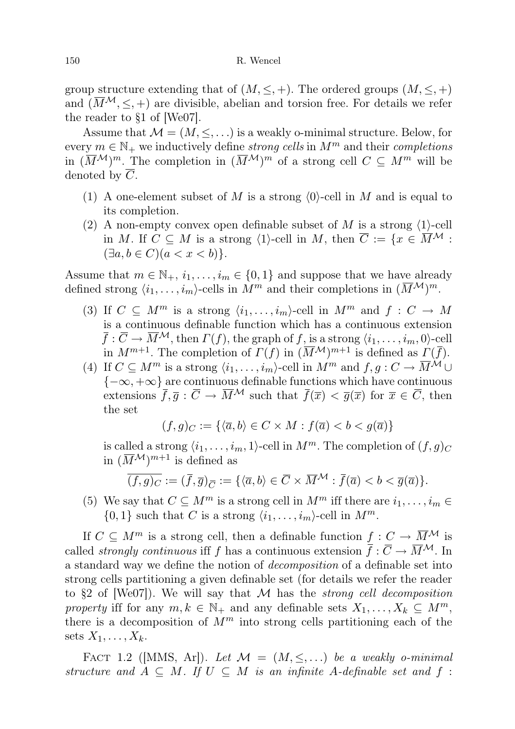group structure extending that of  $(M, \leq, +)$ . The ordered groups  $(M, \leq, +)$ and  $(\overline{M}^{\mathcal{M}}, \leq, +)$  are divisible, abelian and torsion free. For details we refer the reader to §1 of [We07].

Assume that  $\mathcal{M} = (M, \leq, \ldots)$  is a weakly o-minimal structure. Below, for every  $m \in \mathbb{N}_+$  we inductively define *strong cells* in  $M^m$  and their *completions* in  $(\overline{M}^{\mathcal{M}})^m$ . The completion in  $(\overline{M}^{\mathcal{M}})^m$  of a strong cell  $C \subseteq M^m$  will be denoted by  $\overline{C}$ .

- (1) A one-element subset of M is a strong  $\langle 0 \rangle$ -cell in M and is equal to its completion.
- (2) A non-empty convex open definable subset of M is a strong  $\langle 1 \rangle$ -cell in M. If  $C \subseteq M$  is a strong  $\langle 1 \rangle$ -cell in M, then  $\overline{C} := \{x \in \overline{M}^{\mathcal{M}} :$  $(\exists a, b \in C)(a < x < b)$ .

Assume that  $m \in \mathbb{N}_+$ ,  $i_1, \ldots, i_m \in \{0, 1\}$  and suppose that we have already defined strong  $\langle i_1, \ldots, i_m \rangle$ -cells in  $M^m$  and their completions in  $(\overline{M}^{\mathcal{M}})^m$ .

- (3) If  $C \subseteq M^m$  is a strong  $\langle i_1, \ldots, i_m \rangle$ -cell in  $M^m$  and  $f : C \to M$ is a continuous definable function which has a continuous extension  $\bar{f}: \bar{C} \to \bar{M}^{\mathcal{M}}$ , then  $\Gamma(f)$ , the graph of f, is a strong  $\langle i_1, \ldots, i_m, 0 \rangle$ -cell in  $M^{m+1}$ . The completion of  $\Gamma(f)$  in  $(\overline{M}^{\mathcal{M}})^{m+1}$  is defined as  $\Gamma(\overline{f})$ .
- (4) If  $C \subseteq M^m$  is a strong  $\langle i_1, \ldots, i_m \rangle$ -cell in  $M^m$  and  $f, g : C \to \overline{M}^M \cup$  ${-\infty, +\infty}$  are continuous definable functions which have continuous extensions  $\overline{f}, \overline{g} : \overline{C} \to \overline{M}^{\mathcal{M}}$  such that  $\overline{f}(\overline{x}) < \overline{g}(\overline{x})$  for  $\overline{x} \in \overline{C}$ , then the set

$$
(f,g)_C := \{ \langle \overline{a}, b \rangle \in C \times M : f(\overline{a}) < b < g(\overline{a}) \}
$$

is called a strong  $\langle i_1, \ldots, i_m, 1 \rangle$ -cell in  $M^m$ . The completion of  $(f, g)_C$ in  $(\overline{M}^{\mathcal{M}})^{m+1}$  is defined as

$$
\overline{(f,g)_C} := (\overline{f}, \overline{g})_{\overline{C}} := \{ \langle \overline{a}, b \rangle \in \overline{C} \times \overline{M}^{\mathcal{M}} : \overline{f}(\overline{a}) < b < \overline{g}(\overline{a}) \}.
$$

(5) We say that  $C \subseteq M^m$  is a strong cell in  $M^m$  iff there are  $i_1, \ldots, i_m \in$  $\{0, 1\}$  such that C is a strong  $\langle i_1, \ldots, i_m \rangle$ -cell in  $M^m$ .

If  $C \subseteq M^m$  is a strong cell, then a definable function  $f: C \to \overline{M}^{\mathcal{M}}$  is called *strongly continuous* iff f has a continuous extension  $\bar{f}: \bar{C} \to \bar{M}^{\mathcal{M}}$ . In a standard way we define the notion of decomposition of a definable set into strong cells partitioning a given definable set (for details we refer the reader to  $\S2$  of [We07]). We will say that M has the *strong cell decomposition* property iff for any  $m, k \in \mathbb{N}_+$  and any definable sets  $X_1, \ldots, X_k \subseteq M^m$ , there is a decomposition of  $M^m$  into strong cells partitioning each of the sets  $X_1, \ldots, X_k$ .

FACT 1.2 ([MMS, Ar]). Let  $\mathcal{M} = (M, \leq, ...)$  be a weakly o-minimal structure and  $A \subseteq M$ . If  $U \subseteq M$  is an infinite A-definable set and f: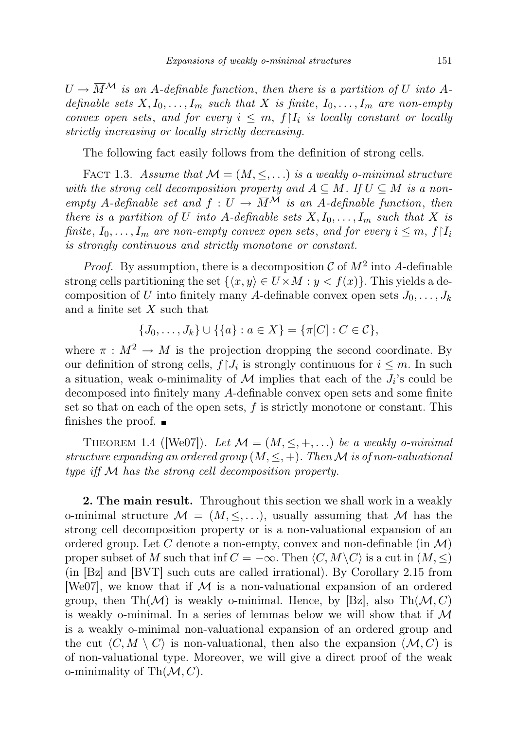$U \to \overline{M}^{\mathcal{M}}$  is an A-definable function, then there is a partition of U into Adefinable sets  $X, I_0, \ldots, I_m$  such that X is finite,  $I_0, \ldots, I_m$  are non-empty convex open sets, and for every  $i \leq m$ ,  $f|I_i$  is locally constant or locally strictly increasing or locally strictly decreasing.

The following fact easily follows from the definition of strong cells.

FACT 1.3. Assume that  $\mathcal{M} = (M, \leq, \ldots)$  is a weakly o-minimal structure with the strong cell decomposition property and  $A \subseteq M$ . If  $U \subseteq M$  is a nonempty A-definable set and  $f: U \to \overline{M}^{\mathcal{M}}$  is an A-definable function, then there is a partition of U into A-definable sets  $X, I_0, \ldots, I_m$  such that X is finite,  $I_0, \ldots, I_m$  are non-empty convex open sets, and for every  $i \leq m, f \mid I_i$ is strongly continuous and strictly monotone or constant.

*Proof.* By assumption, there is a decomposition  $\mathcal C$  of  $M^2$  into A-definable strong cells partitioning the set  $\{\langle x, y \rangle \in U \times M : y < f(x)\}\.$  This yields a decomposition of U into finitely many A-definable convex open sets  $J_0, \ldots, J_k$ and a finite set X such that

$$
\{J_0, \ldots, J_k\} \cup \{\{a\} : a \in X\} = \{\pi[C] : C \in \mathcal{C}\},\
$$

where  $\pi : M^2 \to M$  is the projection dropping the second coordinate. By our definition of strong cells,  $f \mid J_i$  is strongly continuous for  $i \leq m$ . In such a situation, weak o-minimality of  $\mathcal M$  implies that each of the  $J_i$ 's could be decomposed into finitely many A-definable convex open sets and some finite set so that on each of the open sets,  $f$  is strictly monotone or constant. This finishes the proof.  $\blacksquare$ 

THEOREM 1.4 ([We07]). Let  $\mathcal{M} = (M, \leq, +, \ldots)$  be a weakly o-minimal structure expanding an ordered group  $(M, \leq, +)$ . Then M is of non-valuational type iff M has the strong cell decomposition property.

2. The main result. Throughout this section we shall work in a weakly o-minimal structure  $\mathcal{M} = (M, \leq, \ldots)$ , usually assuming that  $\mathcal M$  has the strong cell decomposition property or is a non-valuational expansion of an ordered group. Let C denote a non-empty, convex and non-definable (in  $\mathcal{M}$ ) proper subset of M such that inf  $C = -\infty$ . Then  $\langle C, M \setminus C \rangle$  is a cut in  $(M, \leq)$ (in [Bz] and [BVT] such cuts are called irrational). By Corollary 2.15 from [We07], we know that if  $\mathcal M$  is a non-valuational expansion of an ordered group, then Th $(\mathcal{M})$  is weakly o-minimal. Hence, by [Bz], also Th $(\mathcal{M}, C)$ is weakly o-minimal. In a series of lemmas below we will show that if  $\mathcal M$ is a weakly o-minimal non-valuational expansion of an ordered group and the cut  $\langle C, M \setminus C \rangle$  is non-valuational, then also the expansion  $(\mathcal{M}, C)$  is of non-valuational type. Moreover, we will give a direct proof of the weak o-minimality of  $\text{Th}(\mathcal{M}, C)$ .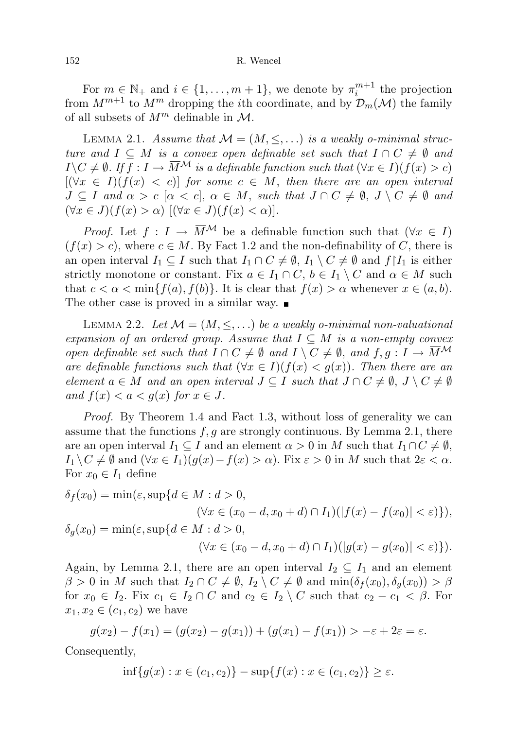For  $m \in \mathbb{N}_+$  and  $i \in \{1, ..., m+1\}$ , we denote by  $\pi_i^{m+1}$  the projection from  $M^{m+1}$  to  $M^m$  dropping the *i*th coordinate, and by  $\mathcal{D}_m(\mathcal{M})$  the family of all subsets of  $M^m$  definable in  $\mathcal{M}$ .

LEMMA 2.1. Assume that  $\mathcal{M} = (M, \leq, \ldots)$  is a weakly o-minimal structure and  $I \subseteq M$  is a convex open definable set such that  $I \cap C \neq \emptyset$  and  $I \setminus C \neq \emptyset$ . If  $f : I \to \overline{M}^{\mathcal{M}}$  is a definable function such that  $(\forall x \in I)(f(x) > c)$  $[(\forall x \in I)(f(x) < c)]$  for some  $c \in M$ , then there are an open interval  $J \subseteq I$  and  $\alpha > c \ [\alpha < c], \ \alpha \in M$ , such that  $J \cap C \neq \emptyset$ ,  $J \setminus C \neq \emptyset$  and  $(\forall x \in J)(f(x) > \alpha)$   $[(\forall x \in J)(f(x) < \alpha)].$ 

*Proof.* Let  $f: I \to \overline{M}^{\mathcal{M}}$  be a definable function such that  $(\forall x \in I)$  $(f(x) > c)$ , where  $c \in M$ . By Fact 1.2 and the non-definability of C, there is an open interval  $I_1 \subseteq I$  such that  $I_1 \cap C \neq \emptyset$ ,  $I_1 \setminus C \neq \emptyset$  and  $f \upharpoonright I_1$  is either strictly monotone or constant. Fix  $a \in I_1 \cap C$ ,  $b \in I_1 \setminus C$  and  $\alpha \in M$  such that  $c < \alpha < \min\{f(a), f(b)\}.$  It is clear that  $f(x) > \alpha$  whenever  $x \in (a, b).$ The other case is proved in a similar way.  $\blacksquare$ 

LEMMA 2.2. Let  $\mathcal{M} = (M, \leq, \ldots)$  be a weakly o-minimal non-valuational expansion of an ordered group. Assume that  $I \subseteq M$  is a non-empty convex open definable set such that  $I \cap C \neq \emptyset$  and  $I \setminus C \neq \emptyset$ , and  $f, g: I \to \overline{M}^{\mathcal{M}}$ are definable functions such that  $(\forall x \in I)(f(x) < g(x))$ . Then there are an element  $a \in M$  and an open interval  $J \subseteq I$  such that  $J \cap C \neq \emptyset$ ,  $J \setminus C \neq \emptyset$ and  $f(x) < a < g(x)$  for  $x \in J$ .

Proof. By Theorem 1.4 and Fact 1.3, without loss of generality we can assume that the functions  $f, g$  are strongly continuous. By Lemma 2.1, there are an open interval  $I_1 \subseteq I$  and an element  $\alpha > 0$  in M such that  $I_1 \cap C \neq \emptyset$ ,  $I_1 \setminus C \neq \emptyset$  and  $(\forall x \in I_1)(g(x) - f(x) > \alpha)$ . Fix  $\varepsilon > 0$  in M such that  $2\varepsilon < \alpha$ . For  $x_0 \in I_1$  define

$$
\delta_f(x_0) = \min(\varepsilon, \sup\{d \in M : d > 0, \n(\forall x \in (x_0 - d, x_0 + d) \cap I_1)(|f(x) - f(x_0)| < \varepsilon)\}),
$$
\n
$$
\delta_g(x_0) = \min(\varepsilon, \sup\{d \in M : d > 0, \n(\forall x \in (x_0 - d, x_0 + d) \cap I_1)(|g(x) - g(x_0)| < \varepsilon)\}).
$$

Again, by Lemma 2.1, there are an open interval  $I_2 \subseteq I_1$  and an element  $\beta > 0$  in M such that  $I_2 \cap C \neq \emptyset$ ,  $I_2 \setminus C \neq \emptyset$  and  $\min(\delta_f(x_0), \delta_q(x_0)) > \beta$ for  $x_0 \in I_2$ . Fix  $c_1 \in I_2 \cap C$  and  $c_2 \in I_2 \setminus C$  such that  $c_2 - c_1 < \beta$ . For  $x_1, x_2 \in (c_1, c_2)$  we have

$$
g(x_2) - f(x_1) = (g(x_2) - g(x_1)) + (g(x_1) - f(x_1)) > -\varepsilon + 2\varepsilon = \varepsilon.
$$

Consequently,

$$
\inf\{g(x) : x \in (c_1, c_2)\} - \sup\{f(x) : x \in (c_1, c_2)\} \ge \varepsilon.
$$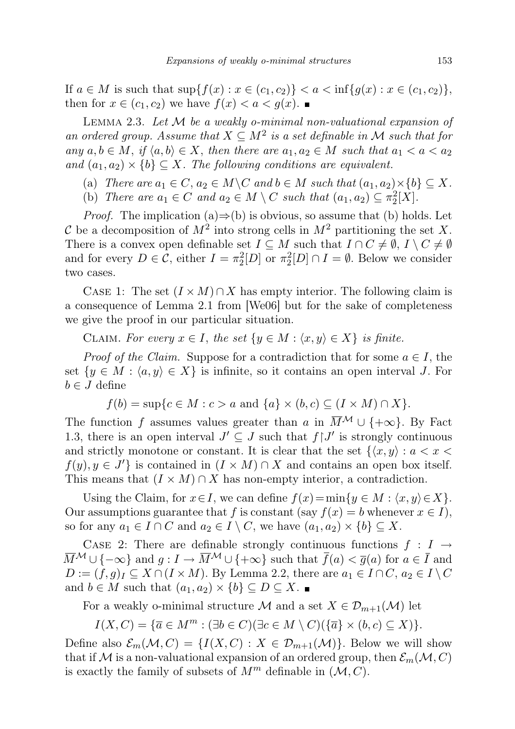If  $a \in M$  is such that  $\sup\{f(x) : x \in (c_1, c_2)\} < a < \inf\{g(x) : x \in (c_1, c_2)\},$ then for  $x \in (c_1, c_2)$  we have  $f(x) < a < g(x)$ .

LEMMA 2.3. Let  $M$  be a weakly o-minimal non-valuational expansion of an ordered group. Assume that  $X \subseteq M^2$  is a set definable in M such that for any  $a, b \in M$ , if  $\langle a, b \rangle \in X$ , then there are  $a_1, a_2 \in M$  such that  $a_1 < a < a_2$ and  $(a_1, a_2) \times \{b\} \subseteq X$ . The following conditions are equivalent.

- (a) There are  $a_1 \in C$ ,  $a_2 \in M \backslash C$  and  $b \in M$  such that  $(a_1, a_2) \times \{b\} \subseteq X$ .
- (b) There are  $a_1 \in C$  and  $a_2 \in M \setminus C$  such that  $(a_1, a_2) \subseteq \pi_2^2[X]$ .

*Proof.* The implication (a) $\Rightarrow$ (b) is obvious, so assume that (b) holds. Let C be a decomposition of  $M^2$  into strong cells in  $M^2$  partitioning the set X. There is a convex open definable set  $I \subseteq M$  such that  $I \cap C \neq \emptyset$ ,  $I \setminus C \neq \emptyset$ and for every  $D \in \mathcal{C}$ , either  $I = \pi_2^2[D]$  or  $\pi_2^2[D] \cap I = \emptyset$ . Below we consider two cases.

CASE 1: The set  $(I \times M) \cap X$  has empty interior. The following claim is a consequence of Lemma 2.1 from [We06] but for the sake of completeness we give the proof in our particular situation.

CLAIM. For every  $x \in I$ , the set  $\{y \in M : \langle x, y \rangle \in X\}$  is finite.

*Proof of the Claim.* Suppose for a contradiction that for some  $a \in I$ , the set  $\{y \in M : \langle a, y \rangle \in X\}$  is infinite, so it contains an open interval J. For  $b \in J$  define

 $f(b) = \sup\{c \in M : c > a \text{ and } \{a\} \times (b, c) \subseteq (I \times M) \cap X\}.$ 

The function f assumes values greater than a in  $\overline{M}^{\mathcal{M}} \cup \{+\infty\}$ . By Fact 1.3, there is an open interval  $J' \subseteq J$  such that  $f \upharpoonright J'$  is strongly continuous and strictly monotone or constant. It is clear that the set  $\{x, y\} : a < x <$  $f(y), y \in J'$  is contained in  $(I \times M) \cap X$  and contains an open box itself. This means that  $(I \times M) \cap X$  has non-empty interior, a contradiction.

Using the Claim, for  $x \in I$ , we can define  $f(x) = \min\{y \in M : \langle x, y \rangle \in X\}.$ Our assumptions guarantee that f is constant (say  $f(x) = b$  whenever  $x \in I$ ), so for any  $a_1 \in I \cap C$  and  $a_2 \in I \setminus C$ , we have  $(a_1, a_2) \times \{b\} \subseteq X$ .

CASE 2: There are definable strongly continuous functions  $f : I \rightarrow$  $\overline{M}^{\mathcal{M}} \cup \{-\infty\}$  and  $g: I \to \overline{M}^{\mathcal{M}} \cup \{+\infty\}$  such that  $\overline{f}(a) < \overline{g}(a)$  for  $a \in \overline{I}$  and  $D := (f, g)_I \subseteq X \cap (I \times M)$ . By Lemma 2.2, there are  $a_1 \in I \cap C$ ,  $a_2 \in I \setminus C$ and  $b \in M$  such that  $(a_1, a_2) \times \{b\} \subseteq D \subseteq X$ .

For a weakly o-minimal structure M and a set  $X \in \mathcal{D}_{m+1}(\mathcal{M})$  let

$$
I(X, C) = \{ \overline{a} \in M^m : (\exists b \in C) (\exists c \in M \setminus C) (\{ \overline{a} \} \times (b, c) \subseteq X) \}.
$$

Define also  $\mathcal{E}_m(\mathcal{M}, C) = \{I(X, C) : X \in \mathcal{D}_{m+1}(\mathcal{M})\}\)$ . Below we will show that if M is a non-valuational expansion of an ordered group, then  $\mathcal{E}_m(\mathcal{M}, C)$ is exactly the family of subsets of  $M^m$  definable in  $(\mathcal{M}, C)$ .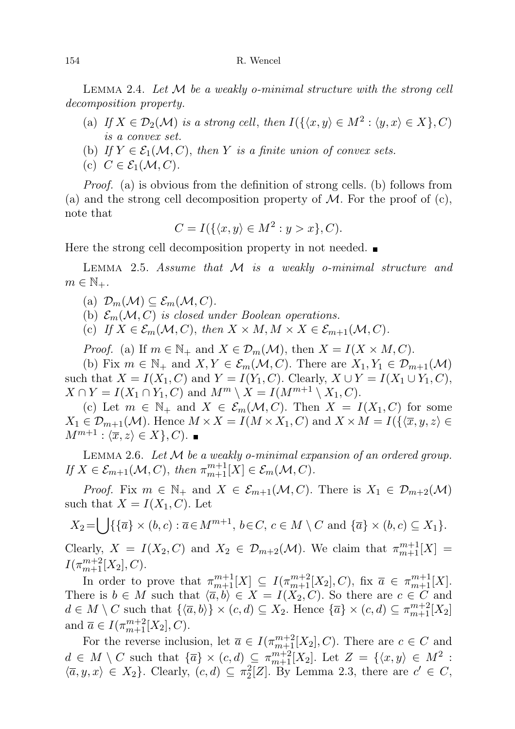## 154 R. Wencel

LEMMA 2.4. Let  $M$  be a weakly o-minimal structure with the strong cell decomposition property.

- (a) If  $X \in \mathcal{D}_2(\mathcal{M})$  is a strong cell, then  $I(\{\langle x, y \rangle \in M^2 : \langle y, x \rangle \in X\}, C)$ is a convex set.
- (b) If  $Y \in \mathcal{E}_1(\mathcal{M}, C)$ , then Y is a finite union of convex sets.
- (c)  $C \in \mathcal{E}_1(\mathcal{M}, C)$ .

Proof. (a) is obvious from the definition of strong cells. (b) follows from (a) and the strong cell decomposition property of  $M$ . For the proof of (c), note that

$$
C = I(\{\langle x, y \rangle \in M^2 : y > x\}, C).
$$

Here the strong cell decomposition property in not needed.

LEMMA 2.5. Assume that M is a weakly o-minimal structure and  $m \in \mathbb{N}_+$ .

(a)  $\mathcal{D}_m(\mathcal{M}) \subseteq \mathcal{E}_m(\mathcal{M}, C)$ .

(b)  $\mathcal{E}_m(\mathcal{M}, C)$  is closed under Boolean operations.

(c) If  $X \in \mathcal{E}_m(\mathcal{M}, C)$ , then  $X \times M, M \times X \in \mathcal{E}_{m+1}(\mathcal{M}, C)$ .

*Proof.* (a) If  $m \in \mathbb{N}_+$  and  $X \in \mathcal{D}_m(\mathcal{M})$ , then  $X = I(X \times M, C)$ .

(b) Fix  $m \in \mathbb{N}_+$  and  $X, Y \in \mathcal{E}_m(\mathcal{M}, C)$ . There are  $X_1, Y_1 \in \mathcal{D}_{m+1}(\mathcal{M})$ such that  $X = I(X_1, C)$  and  $Y = I(Y_1, C)$ . Clearly,  $X \cup Y = I(X_1 \cup Y_1, C)$ ,  $X \cap Y = I(X_1 \cap Y_1, C)$  and  $M^m \setminus X = I(M^{m+1} \setminus X_1, C)$ .

(c) Let  $m \in \mathbb{N}_+$  and  $X \in \mathcal{E}_m(\mathcal{M}, C)$ . Then  $X = I(X_1, C)$  for some  $X_1 \in \mathcal{D}_{m+1}(\mathcal{M})$ . Hence  $M \times X = I(M \times X_1, C)$  and  $X \times M = I(\{\langle \overline{x}, y, z \rangle \in$  $M^{m+1}$ :  $\langle \overline{x}, z \rangle \in X$ , C).

LEMMA 2.6. Let  $M$  be a weakly o-minimal expansion of an ordered group. If  $X \in \mathcal{E}_{m+1}(\mathcal{M}, C)$ , then  $\pi_{m+1}^{m+1}[X] \in \mathcal{E}_m(\mathcal{M}, C)$ .

*Proof.* Fix  $m \in \mathbb{N}_+$  and  $X \in \mathcal{E}_{m+1}(\mathcal{M}, C)$ . There is  $X_1 \in \mathcal{D}_{m+2}(\mathcal{M})$ such that  $X = I(X_1, C)$ . Let

$$
X_2 = \bigcup \{ \{\overline{a}\} \times (b,c) : \overline{a} \in M^{m+1}, \, b \in C, \, c \in M \setminus C \text{ and } \{\overline{a}\} \times (b,c) \subseteq X_1 \}.
$$

Clearly,  $X = I(X_2, C)$  and  $X_2 \in \mathcal{D}_{m+2}(\mathcal{M})$ . We claim that  $\pi_{m+1}^{m+1}[X] =$  $I(\pi_{m+1}^{m+2}[X_2],C).$ 

In order to prove that  $\pi_{m+1}^{m+1}[X] \subseteq I(\pi_{m+1}^{m+2}[X_2], C)$ , fix  $\bar{a} \in \pi_{m+1}^{m+1}[X]$ . There is  $b \in M$  such that  $\langle \overline{a}, b \rangle \in X = I(X_2, C)$ . So there are  $c \in C$  and  $d \in M \setminus C$  such that  $\{\langle \overline{a}, b \rangle\} \times (c, d) \subseteq X_2$ . Hence  $\{\overline{a}\} \times (c, d) \subseteq \pi_{m+1}^{m+2}[X_2]$ and  $\bar{a} \in I(\pi_{m+1}^{m+2}[X_2], C)$ .

For the reverse inclusion, let  $\overline{a} \in I(\pi_{m+1}^{m+2}[X_2], C)$ . There are  $c \in C$  and  $d \in M \setminus C$  such that  $\{\overline{a}\} \times (c, d) \subseteq \pi_{m+1}^{m+2}[X_2]$ . Let  $Z = \{\langle x, y \rangle \in M^2$ :  $\langle \overline{a}, y, x \rangle \in X_2$ . Clearly,  $(c, d) \subseteq \pi_2^2[Z]$ . By Lemma 2.3, there are  $c' \in C$ ,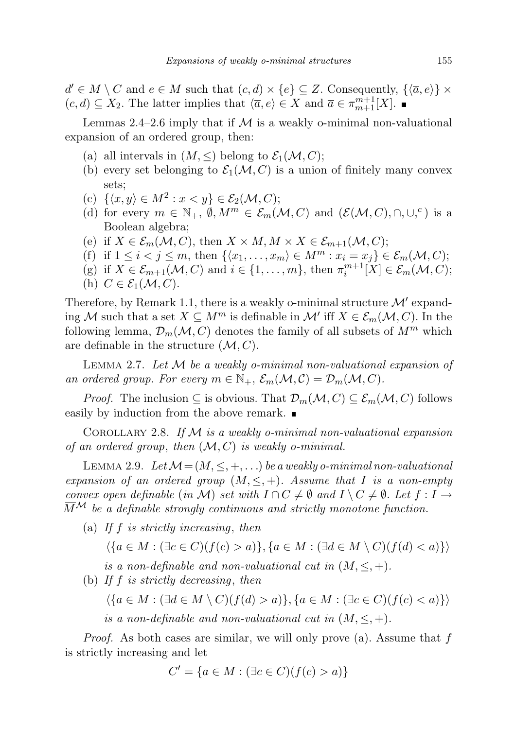$d' \in M \setminus C$  and  $e \in M$  such that  $(c, d) \times \{e\} \subseteq Z$ . Consequently,  $\{\langle \overline{a}, e \rangle\} \times$  $(c, d) \subseteq X_2$ . The latter implies that  $\langle \overline{a}, e \rangle \in X$  and  $\overline{a} \in \pi_{m+1}^{m+1}[X]$ .

Lemmas 2.4–2.6 imply that if  $M$  is a weakly o-minimal non-valuational expansion of an ordered group, then:

- (a) all intervals in  $(M, \leq)$  belong to  $\mathcal{E}_1(\mathcal{M}, C)$ ;
- (b) every set belonging to  $\mathcal{E}_1(\mathcal{M}, C)$  is a union of finitely many convex sets;
- (c)  $\{\langle x, y \rangle \in M^2 : x < y\} \in \mathcal{E}_2(\mathcal{M}, C);$
- (d) for every  $m \in \mathbb{N}_+$ ,  $\emptyset, M^m \in \mathcal{E}_m(\mathcal{M}, C)$  and  $(\mathcal{E}(\mathcal{M}, C), \cap, \cup,^c)$  is a Boolean algebra;
- (e) if  $X \in \mathcal{E}_m(\mathcal{M}, C)$ , then  $X \times M, M \times X \in \mathcal{E}_{m+1}(\mathcal{M}, C)$ ;
- (f) if  $1 \leq i < j \leq m$ , then  $\{\langle x_1, \ldots, x_m \rangle \in M^m : x_i = x_j\} \in \mathcal{E}_m(\mathcal{M}, C)$ ;
- (g) if  $X \in \mathcal{E}_{m+1}(\mathcal{M}, C)$  and  $i \in \{1, \ldots, m\}$ , then  $\pi_i^{m+1}[X] \in \mathcal{E}_m(\mathcal{M}, C)$ ;
- (h)  $C \in \mathcal{E}_1(\mathcal{M}, C)$ .

Therefore, by Remark 1.1, there is a weakly o-minimal structure  $\mathcal{M}'$  expanding M such that a set  $X \subseteq M^m$  is definable in  $\mathcal{M}'$  iff  $X \in \mathcal{E}_m(\mathcal{M}, C)$ . In the following lemma,  $\mathcal{D}_m(\mathcal{M}, C)$  denotes the family of all subsets of  $M^m$  which are definable in the structure  $(M, C)$ .

LEMMA 2.7. Let  $M$  be a weakly o-minimal non-valuational expansion of an ordered group. For every  $m \in \mathbb{N}_+$ ,  $\mathcal{E}_m(\mathcal{M}, \mathcal{C}) = \mathcal{D}_m(\mathcal{M}, \mathcal{C})$ .

*Proof.* The inclusion  $\subseteq$  is obvious. That  $\mathcal{D}_m(\mathcal{M}, C) \subseteq \mathcal{E}_m(\mathcal{M}, C)$  follows easily by induction from the above remark.

COROLLARY 2.8. If  $M$  is a weakly o-minimal non-valuational expansion of an ordered group, then  $(M, C)$  is weakly o-minimal.

LEMMA 2.9. Let  $\mathcal{M} = (M, \leq, +, \ldots)$  be a weakly o-minimal non-valuational expansion of an ordered group  $(M, \leq, +)$ . Assume that I is a non-empty convex open definable (in M) set with  $I \cap C \neq \emptyset$  and  $I \setminus C \neq \emptyset$ . Let  $f : I \rightarrow$  $\overline{M}^{\mathcal{M}}$  be a definable strongly continuous and strictly monotone function.

(a) If f is strictly increasing, then

 $\langle \{a \in M : (\exists c \in C)(f(c) > a)\}, \{a \in M : (\exists d \in M \setminus C)(f(d) < a)\}\rangle$ 

is a non-definable and non-valuational cut in  $(M, \leq, +)$ .

(b) If  $f$  is strictly decreasing, then

$$
\langle \{a \in M : (\exists d \in M \setminus C)(f(d) > a)\}, \{a \in M : (\exists c \in C)(f(c) < a)\}\rangle
$$

is a non-definable and non-valuational cut in  $(M, \leq, +)$ .

*Proof.* As both cases are similar, we will only prove (a). Assume that  $f$ is strictly increasing and let

$$
C' = \{ a \in M : (\exists c \in C) (f(c) > a) \}
$$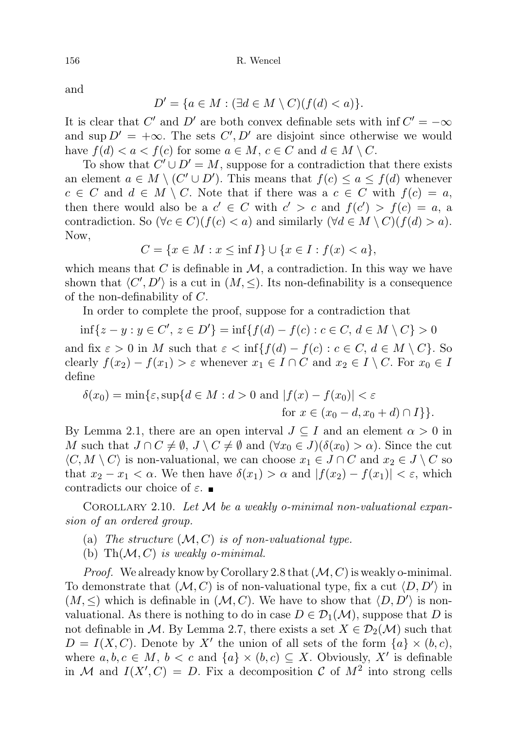and

$$
D' = \{ a \in M : (\exists d \in M \setminus C) (f(d) < a) \}.
$$

It is clear that C' and D' are both convex definable sets with  $\inf C' = -\infty$ and sup  $D' = +\infty$ . The sets  $C', D'$  are disjoint since otherwise we would have  $f(d) < a < f(c)$  for some  $a \in M$ ,  $c \in C$  and  $d \in M \setminus C$ .

To show that  $C' \cup D' = M$ , suppose for a contradiction that there exists an element  $a \in M \setminus (C' \cup D')$ . This means that  $f(c) \le a \le f(d)$  whenever  $c \in C$  and  $d \in M \setminus C$ . Note that if there was a  $c \in C$  with  $f(c) = a$ , then there would also be a  $c' \in C$  with  $c' > c$  and  $f(c') > f(c) = a$ , a contradiction. So  $(\forall c \in C)(f(c) < a)$  and similarly  $(\forall d \in M \setminus C)(f(d) > a)$ . Now,

 $C = \{x \in M : x \leq \inf I\} \cup \{x \in I : f(x) < a\},\$ 

which means that  $C$  is definable in  $M$ , a contradiction. In this way we have shown that  $\langle C', D' \rangle$  is a cut in  $(M, \leq)$ . Its non-definability is a consequence of the non-definability of C.

In order to complete the proof, suppose for a contradiction that

$$
\inf\{z - y : y \in C', z \in D'\} = \inf\{f(d) - f(c) : c \in C, d \in M \setminus C\} > 0
$$
  
and fix  $\varepsilon > 0$  in M such that  $\varepsilon < \inf\{f(d) - f(c) : c \in C, d \in M \setminus C\}$ . So  
clearly  $f(x_2) - f(x_1) > \varepsilon$  whenever  $x_1 \in I \cap C$  and  $x_2 \in I \setminus C$ . For  $x_0 \in I$   
define

$$
\delta(x_0) = \min\{\varepsilon, \sup\{d \in M : d > 0 \text{ and } |f(x) - f(x_0)| < \varepsilon \text{ for } x \in (x_0 - d, x_0 + d) \cap I\}\}.
$$

By Lemma 2.1, there are an open interval  $J \subseteq I$  and an element  $\alpha > 0$  in M such that  $J \cap C \neq \emptyset$ ,  $J \setminus C \neq \emptyset$  and  $(\forall x_0 \in J)(\delta(x_0) > \alpha)$ . Since the cut  $\langle C, M \setminus C \rangle$  is non-valuational, we can choose  $x_1 \in J \cap C$  and  $x_2 \in J \setminus C$  so that  $x_2 - x_1 < \alpha$ . We then have  $\delta(x_1) > \alpha$  and  $|f(x_2) - f(x_1)| < \varepsilon$ , which contradicts our choice of  $\varepsilon$ .

COROLLARY 2.10. Let  $M$  be a weakly o-minimal non-valuational expansion of an ordered group.

- (a) The structure  $(M, C)$  is of non-valuational type.
- (b) Th $(\mathcal{M}, C)$  is weakly o-minimal.

*Proof.* We already know by Corollary 2.8 that  $(M, C)$  is weakly o-minimal. To demonstrate that  $(M, C)$  is of non-valuational type, fix a cut  $\langle D, D' \rangle$  in  $(M, \leq)$  which is definable in  $(M, C)$ . We have to show that  $\langle D, D' \rangle$  is nonvaluational. As there is nothing to do in case  $D \in \mathcal{D}_1(\mathcal{M})$ , suppose that D is not definable in M. By Lemma 2.7, there exists a set  $X \in \mathcal{D}_2(\mathcal{M})$  such that  $D = I(X, C)$ . Denote by X' the union of all sets of the form  $\{a\} \times (b, c)$ , where  $a, b, c \in M$ ,  $b < c$  and  $\{a\} \times (b, c) \subseteq X$ . Obviously, X' is definable in M and  $I(X', C) = D$ . Fix a decomposition C of  $M^2$  into strong cells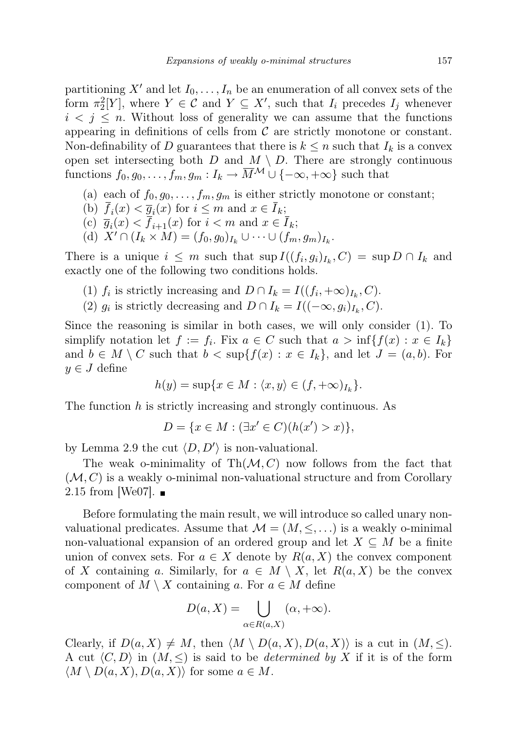partitioning X' and let  $I_0, \ldots, I_n$  be an enumeration of all convex sets of the form  $\pi_2^2[Y]$ , where  $Y \in \mathcal{C}$  and  $Y \subseteq X'$ , such that  $I_i$  precedes  $I_j$  whenever  $i < j \leq n$ . Without loss of generality we can assume that the functions appearing in definitions of cells from  $\mathcal C$  are strictly monotone or constant. Non-definability of D guarantees that there is  $k \leq n$  such that  $I_k$  is a convex open set intersecting both  $D$  and  $M \setminus D$ . There are strongly continuous functions  $f_0, g_0, \ldots, f_m, g_m: I_k \to \overline{M}^{\mathcal{M}} \cup \{-\infty, +\infty\}$  such that

- (a) each of  $f_0, g_0, \ldots, f_m, g_m$  is either strictly monotone or constant;
- (b)  $f_i(x) < \overline{g}_i(x)$  for  $i \leq m$  and  $x \in I_k$ ;
- (c)  $\overline{g}_i(x) < f_{i+1}(x)$  for  $i < m$  and  $x \in I_k$ ;
- (d)  $X' \cap (I_k \times M) = (f_0, g_0)_{I_k} \cup \cdots \cup (f_m, g_m)_{I_k}$ .

There is a unique  $i \leq m$  such that  $\sup I((f_i, g_i)_{I_k}, C) = \sup D \cap I_k$  and exactly one of the following two conditions holds.

- (1)  $f_i$  is strictly increasing and  $D \cap I_k = I((f_i, +\infty)_{I_k}, C)$ .
- (2)  $g_i$  is strictly decreasing and  $D \cap I_k = I((-\infty, g_i)_{I_k}, C)$ .

Since the reasoning is similar in both cases, we will only consider (1). To simplify notation let  $f := f_i$ . Fix  $a \in C$  such that  $a > \inf\{f(x) : x \in I_k\}$ and  $b \in M \setminus C$  such that  $b < \sup\{f(x) : x \in I_k\}$ , and let  $J = (a, b)$ . For  $y \in J$  define

$$
h(y) = \sup\{x \in M : \langle x, y \rangle \in (f, +\infty)_{I_k}\}.
$$

The function h is strictly increasing and strongly continuous. As

$$
D = \{ x \in M : (\exists x' \in C)(h(x') > x) \},
$$

by Lemma 2.9 the cut  $\langle D, D' \rangle$  is non-valuational.

The weak o-minimality of  $\text{Th}(\mathcal{M}, C)$  now follows from the fact that  $(M, C)$  is a weakly o-minimal non-valuational structure and from Corollary 2.15 from [We07].  $\blacksquare$ 

Before formulating the main result, we will introduce so called unary nonvaluational predicates. Assume that  $\mathcal{M} = (M, \leq, \ldots)$  is a weakly o-minimal non-valuational expansion of an ordered group and let  $X \subseteq M$  be a finite union of convex sets. For  $a \in X$  denote by  $R(a, X)$  the convex component of X containing a. Similarly, for  $a \in M \setminus X$ , let  $R(a, X)$  be the convex component of  $M \setminus X$  containing a. For  $a \in M$  define

$$
D(a, X) = \bigcup_{\alpha \in R(a, X)} (\alpha, +\infty).
$$

Clearly, if  $D(a, X) \neq M$ , then  $\langle M \setminus D(a, X), D(a, X) \rangle$  is a cut in  $(M, \leq)$ . A cut  $\langle C, D \rangle$  in  $(M, \leq)$  is said to be *determined by X* if it is of the form  $\langle M \setminus D(a, X), D(a, X) \rangle$  for some  $a \in M$ .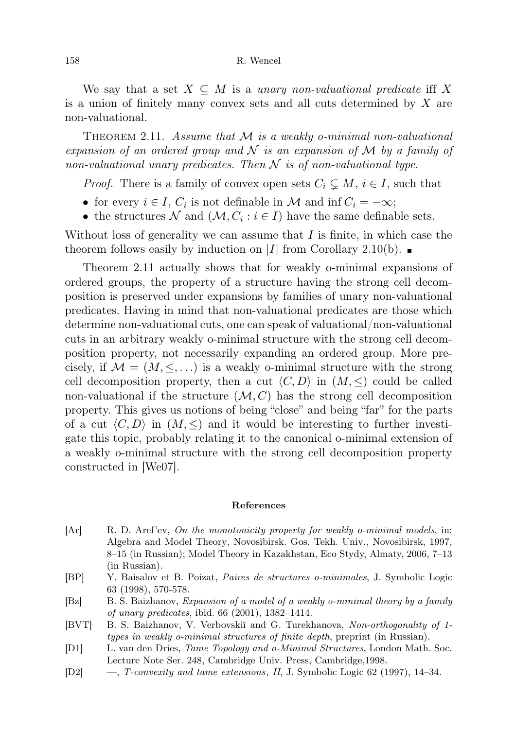## 158 R. Wencel

We say that a set  $X \subseteq M$  is a unary non-valuational predicate iff X is a union of finitely many convex sets and all cuts determined by  $X$  are non-valuational.

THEOREM 2.11. Assume that  $M$  is a weakly o-minimal non-valuational expansion of an ordered group and  $N$  is an expansion of  $M$  by a family of non-valuational unary predicates. Then  $N$  is of non-valuational type.

*Proof.* There is a family of convex open sets  $C_i \subseteq M$ ,  $i \in I$ , such that

- for every  $i \in I$ ,  $C_i$  is not definable in M and inf  $C_i = -\infty$ ;
- the structures  $\mathcal N$  and  $(\mathcal M, C_i : i \in I)$  have the same definable sets.

Without loss of generality we can assume that  $I$  is finite, in which case the theorem follows easily by induction on |I| from Corollary 2.10(b).  $\blacksquare$ 

Theorem 2.11 actually shows that for weakly o-minimal expansions of ordered groups, the property of a structure having the strong cell decomposition is preserved under expansions by families of unary non-valuational predicates. Having in mind that non-valuational predicates are those which determine non-valuational cuts, one can speak of valuational/non-valuational cuts in an arbitrary weakly o-minimal structure with the strong cell decomposition property, not necessarily expanding an ordered group. More precisely, if  $\mathcal{M} = (M, \leq, \ldots)$  is a weakly o-minimal structure with the strong cell decomposition property, then a cut  $\langle C, D \rangle$  in  $(M, \leq)$  could be called non-valuational if the structure  $(M, C)$  has the strong cell decomposition property. This gives us notions of being "close" and being "far" for the parts of a cut  $\langle C, D \rangle$  in  $(M, \leq)$  and it would be interesting to further investigate this topic, probably relating it to the canonical o-minimal extension of a weakly o-minimal structure with the strong cell decomposition property constructed in [We07].

## References

- [Ar] R. D. Aref'ev, On the monotonicity property for weakly o-minimal models, in: Algebra and Model Theory, Novosibirsk. Gos. Tekh. Univ., Novosibirsk, 1997, 8–15 (in Russian); Model Theory in Kazakhstan, Eco Stydy, Almaty, 2006, 7–13 (in Russian).
- [BP] Y. Baisalov et B. Poizat, Paires de structures o-minimales, J. Symbolic Logic 63 (1998), 570-578.
- [Bz] B. S. Baizhanov, Expansion of a model of a weakly o-minimal theory by a family of unary predicates, ibid. 66 (2001), 1382–1414.
- [BVT] B. S. Baizhanov, V. Verbovskiı̆ and G. Turekhanova, Non-orthogonality of 1types in weakly o-minimal structures of finite depth, preprint (in Russian).
- [D1] L. van den Dries, Tame Topology and o-Minimal Structures, London Math. Soc. Lecture Note Ser. 248, Cambridge Univ. Press, Cambridge,1998.
- [D2] —, T-convexity and tame extensions, II, J. Symbolic Logic 62 (1997), 14–34.